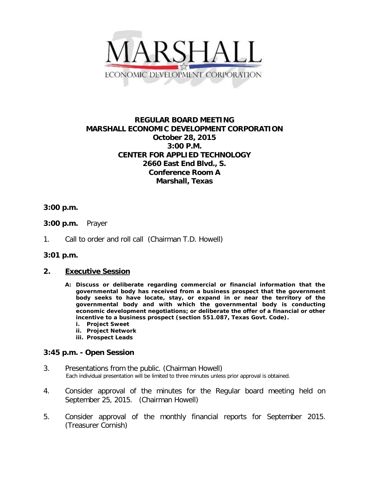

# **REGULAR BOARD MEETING MARSHALL ECONOMIC DEVELOPMENT CORPORATION October 28, 2015 3:00 P.M. CENTER FOR APPLIED TECHNOLOGY 2660 East End Blvd., S. Conference Room A Marshall, Texas**

### **3:00 p.m.**

- **3:00 p.m.** Prayer
- 1. Call to order and roll call (Chairman T.D. Howell)

#### **3:01 p.m.**

#### **2. Executive Session**

- **A: Discuss or deliberate regarding commercial or financial information that the governmental body has received from a business prospect that the government body seeks to have locate, stay, or expand in or near the territory of the governmental body and with which the governmental body is conducting economic development negotiations; or deliberate the offer of a financial or other incentive to a business prospect (section 551.087, Texas Govt. Code).**
	- **i. Project Sweet**
	- **ii. Project Network**
	- **iii. Prospect Leads**

## **3:45 p.m. - Open Session**

- 3. Presentations from the public. (Chairman Howell) Each individual presentation will be limited to three minutes unless prior approval is obtained.
- 4. Consider approval of the minutes for the Regular board meeting held on September 25, 2015. (Chairman Howell)
- 5. Consider approval of the monthly financial reports for September 2015. (Treasurer Cornish)